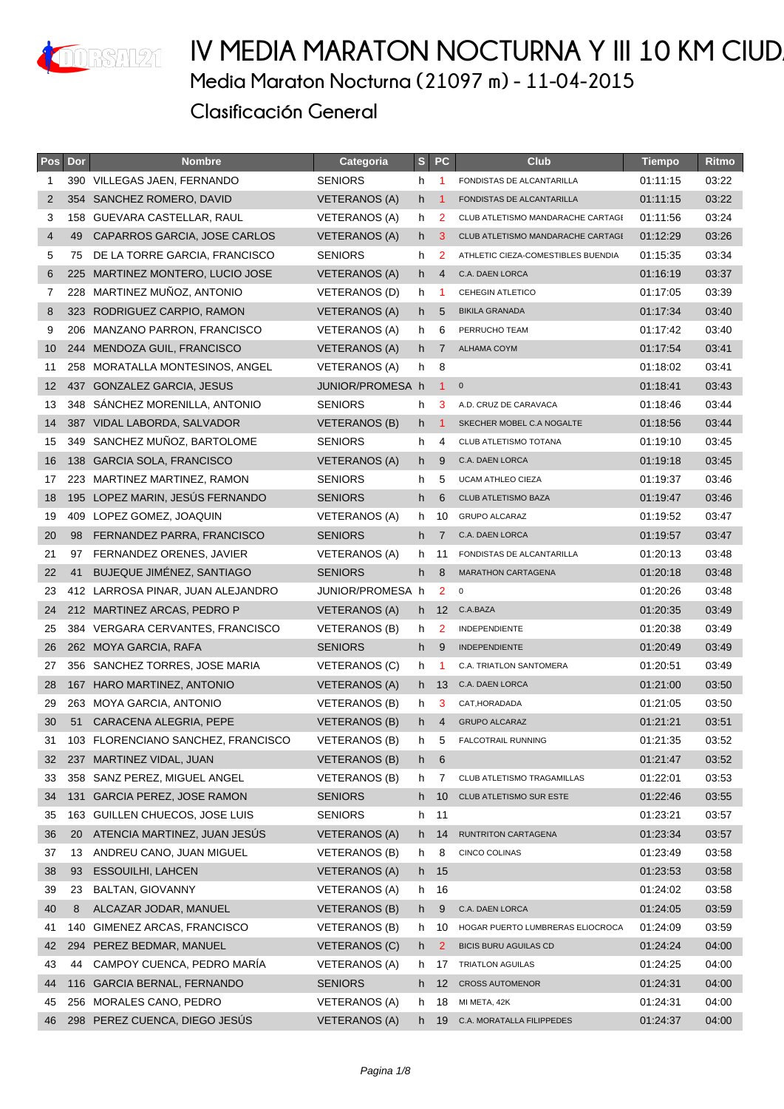

#### IV MEDIA MARATON NOCTURNA Y III 10 KM CIUD **Media Maraton Nocturna (21097 m) - 11-04-2015 Clasificación General**

| Pos | Dor | <b>Nombre</b>                      | Categoria            | S  | <b>PC</b>         | <b>Club</b>                        | <b>Tiempo</b> | Ritmo |
|-----|-----|------------------------------------|----------------------|----|-------------------|------------------------------------|---------------|-------|
| 1   |     | 390 VILLEGAS JAEN, FERNANDO        | <b>SENIORS</b>       | h  | 1                 | FONDISTAS DE ALCANTARILLA          | 01:11:15      | 03:22 |
| 2   | 354 | SANCHEZ ROMERO, DAVID              | <b>VETERANOS (A)</b> | h  | -1                | FONDISTAS DE ALCANTARILLA          | 01:11:15      | 03:22 |
| 3   |     | 158 GUEVARA CASTELLAR, RAUL        | VETERANOS (A)        | h  | 2                 | CLUB ATLETISMO MANDARACHE CARTAGE  | 01:11:56      | 03:24 |
| 4   | 49  | CAPARROS GARCIA, JOSE CARLOS       | <b>VETERANOS (A)</b> | h  | 3                 | CLUB ATLETISMO MANDARACHE CARTAGI  | 01:12:29      | 03:26 |
| 5   | 75  | DE LA TORRE GARCIA, FRANCISCO      | <b>SENIORS</b>       | h  | 2                 | ATHLETIC CIEZA-COMESTIBLES BUENDIA | 01:15:35      | 03:34 |
| 6   | 225 | MARTINEZ MONTERO, LUCIO JOSE       | <b>VETERANOS (A)</b> | h  | 4                 | C.A. DAEN LORCA                    | 01:16:19      | 03:37 |
| 7   | 228 | MARTINEZ MUÑOZ, ANTONIO            | VETERANOS (D)        | h  | -1                | CEHEGIN ATLETICO                   | 01:17:05      | 03:39 |
| 8   |     | 323 RODRIGUEZ CARPIO, RAMON        | <b>VETERANOS (A)</b> | h. | 5                 | <b>BIKILA GRANADA</b>              | 01:17:34      | 03:40 |
| 9   | 206 | <b>MANZANO PARRON, FRANCISCO</b>   | VETERANOS (A)        | h  | 6                 | PERRUCHO TEAM                      | 01:17:42      | 03:40 |
| 10  |     | 244 MENDOZA GUIL, FRANCISCO        | VETERANOS (A)        | h. | $\overline{7}$    | <b>ALHAMA COYM</b>                 | 01:17:54      | 03:41 |
| 11  |     | 258 MORATALLA MONTESINOS, ANGEL    | VETERANOS (A)        | h  | 8                 |                                    | 01:18:02      | 03:41 |
| 12  | 437 | <b>GONZALEZ GARCIA, JESUS</b>      | JUNIOR/PROMESA h     |    | $\mathbf{1}$      | $\mathbf 0$                        | 01:18:41      | 03:43 |
| 13  |     | 348 SANCHEZ MORENILLA, ANTONIO     | <b>SENIORS</b>       | h  | 3                 | A.D. CRUZ DE CARAVACA              | 01:18:46      | 03:44 |
| 14  |     | 387 VIDAL LABORDA, SALVADOR        | <b>VETERANOS (B)</b> | h. | -1                | SKECHER MOBEL C.A NOGALTE          | 01:18:56      | 03:44 |
| 15  | 349 | SANCHEZ MUÑOZ, BARTOLOME           | <b>SENIORS</b>       | h  | 4                 | CLUB ATLETISMO TOTANA              | 01:19:10      | 03:45 |
| 16  | 138 | <b>GARCIA SOLA, FRANCISCO</b>      | <b>VETERANOS (A)</b> | h. | 9                 | C.A. DAEN LORCA                    | 01:19:18      | 03:45 |
| 17  |     | 223 MARTINEZ MARTINEZ, RAMON       | <b>SENIORS</b>       | h  | 5                 | UCAM ATHLEO CIEZA                  | 01:19:37      | 03:46 |
| 18  |     | 195 LOPEZ MARIN, JESÚS FERNANDO    | <b>SENIORS</b>       | h  | 6                 | <b>CLUB ATLETISMO BAZA</b>         | 01:19:47      | 03:46 |
| 19  | 409 | LOPEZ GOMEZ, JOAQUIN               | VETERANOS (A)        | h  | 10                | <b>GRUPO ALCARAZ</b>               | 01:19:52      | 03:47 |
| 20  | 98  | FERNANDEZ PARRA, FRANCISCO         | <b>SENIORS</b>       | h. | $\overline{7}$    | C.A. DAEN LORCA                    | 01:19:57      | 03:47 |
| 21  | 97  | FERNANDEZ ORENES, JAVIER           | VETERANOS (A)        | h  | 11                | FONDISTAS DE ALCANTARILLA          | 01:20:13      | 03:48 |
| 22  | 41  | <b>BUJEQUE JIMÉNEZ, SANTIAGO</b>   | <b>SENIORS</b>       | h  | 8                 | <b>MARATHON CARTAGENA</b>          | 01:20:18      | 03:48 |
| 23  |     | 412 LARROSA PINAR, JUAN ALEJANDRO  | JUNIOR/PROMESA h     |    | $\overline{2}$    | $\mathsf 0$                        | 01:20:26      | 03:48 |
| 24  |     | 212 MARTINEZ ARCAS, PEDRO P        | <b>VETERANOS (A)</b> | h. | $12 \overline{ }$ | C.A.BAZA                           | 01:20:35      | 03:49 |
| 25  |     | 384 VERGARA CERVANTES, FRANCISCO   | VETERANOS (B)        | h  | $\overline{2}$    | <b>INDEPENDIENTE</b>               | 01:20:38      | 03:49 |
| 26  |     | 262 MOYA GARCIA, RAFA              | <b>SENIORS</b>       | h  | 9                 | <b>INDEPENDIENTE</b>               | 01:20:49      | 03:49 |
| 27  |     | 356 SANCHEZ TORRES, JOSE MARIA     | VETERANOS (C)        | h  | -1                | C.A. TRIATLON SANTOMERA            | 01:20:51      | 03:49 |
| 28  |     | 167 HARO MARTINEZ, ANTONIO         | <b>VETERANOS (A)</b> | h. | 13                | C.A. DAEN LORCA                    | 01:21:00      | 03:50 |
| 29  | 263 | MOYA GARCIA, ANTONIO               | VETERANOS (B)        | h  | 3                 | CAT, HORADADA                      | 01:21:05      | 03:50 |
| 30  | 51  | CARACENA ALEGRIA, PEPE             | VETERANOS (B)        | h  | 4                 | <b>GRUPO ALCARAZ</b>               | 01:21:21      | 03:51 |
| 31  |     | 103 FLORENCIANO SANCHEZ, FRANCISCO | <b>VETERANOS (B)</b> | h  | 5                 | <b>FALCOTRAIL RUNNING</b>          | 01:21:35      | 03:52 |
| 32  |     | 237 MARTINEZ VIDAL, JUAN           | <b>VETERANOS (B)</b> | h. | 6                 |                                    | 01:21:47      | 03:52 |
| 33  | 358 | SANZ PEREZ, MIGUEL ANGEL           | VETERANOS (B)        | h  | 7                 | CLUB ATLETISMO TRAGAMILLAS         | 01:22:01      | 03:53 |
| 34  | 131 | <b>GARCIA PEREZ, JOSE RAMON</b>    | <b>SENIORS</b>       | h. | 10                | CLUB ATLETISMO SUR ESTE            | 01:22:46      | 03:55 |
| 35  |     | 163 GUILLEN CHUECOS, JOSE LUIS     | <b>SENIORS</b>       | h  | 11                |                                    | 01:23:21      | 03:57 |
| 36  | 20  | ATENCIA MARTINEZ, JUAN JESÚS       | <b>VETERANOS (A)</b> | h. | 14                | RUNTRITON CARTAGENA                | 01:23:34      | 03:57 |
| 37  | 13  | ANDREU CANO, JUAN MIGUEL           | <b>VETERANOS (B)</b> | h  | 8                 | CINCO COLINAS                      | 01:23:49      | 03:58 |
| 38  | 93  | <b>ESSOUILHI, LAHCEN</b>           | <b>VETERANOS (A)</b> | h. | 15                |                                    | 01:23:53      | 03:58 |
| 39  | 23  | <b>BALTAN, GIOVANNY</b>            | <b>VETERANOS (A)</b> | h  | 16                |                                    | 01:24:02      | 03:58 |
| 40  | 8   | ALCAZAR JODAR, MANUEL              | <b>VETERANOS (B)</b> | h. | 9                 | C.A. DAEN LORCA                    | 01:24:05      | 03:59 |
| 41  | 140 | GIMENEZ ARCAS, FRANCISCO           | <b>VETERANOS (B)</b> | h  | 10                | HOGAR PUERTO LUMBRERAS ELIOCROCA   | 01:24:09      | 03:59 |
| 42  | 294 | PEREZ BEDMAR, MANUEL               | <b>VETERANOS (C)</b> | h. | 2                 | <b>BICIS BURU AGUILAS CD</b>       | 01:24:24      | 04:00 |
| 43  | 44  | CAMPOY CUENCA, PEDRO MARÍA         | VETERANOS (A)        | h  | 17                | <b>TRIATLON AGUILAS</b>            | 01:24:25      | 04:00 |
| 44  |     | 116 GARCIA BERNAL, FERNANDO        | <b>SENIORS</b>       | h. | $12 \overline{ }$ | <b>CROSS AUTOMENOR</b>             | 01:24:31      | 04:00 |
| 45  | 256 | MORALES CANO, PEDRO                | <b>VETERANOS (A)</b> | h  | 18                | MI META, 42K                       | 01:24:31      | 04:00 |
| 46  |     | 298 PEREZ CUENCA, DIEGO JESÚS      | <b>VETERANOS (A)</b> | h. | 19                | C.A. MORATALLA FILIPPEDES          | 01:24:37      | 04:00 |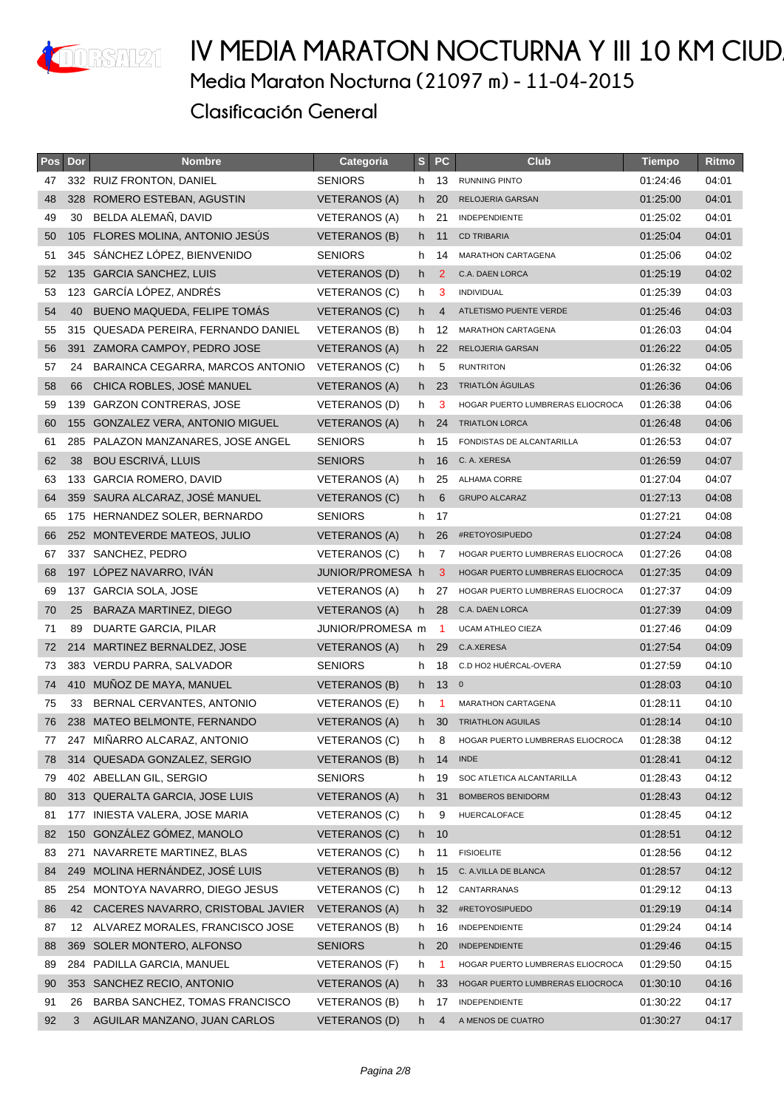

| Pos | Dor | <b>Nombre</b>                        | Categoria            | $\mathbf{s}$ | <b>PC</b> | <b>Club</b>                      | <b>Tiempo</b> | Ritmo |
|-----|-----|--------------------------------------|----------------------|--------------|-----------|----------------------------------|---------------|-------|
| 47  |     | 332 RUIZ FRONTON, DANIEL             | <b>SENIORS</b>       | h.           | 13        | <b>RUNNING PINTO</b>             | 01:24:46      | 04:01 |
| 48  |     | 328 ROMERO ESTEBAN, AGUSTIN          | VETERANOS (A)        | h.           | 20        | RELOJERIA GARSAN                 | 01:25:00      | 04:01 |
| 49  | 30  | BELDA ALEMAN, DAVID                  | VETERANOS (A)        | h.           | 21        | INDEPENDIENTE                    | 01:25:02      | 04:01 |
| 50  |     | 105 FLORES MOLINA, ANTONIO JESUS     | <b>VETERANOS (B)</b> | h.           | 11        | <b>CD TRIBARIA</b>               | 01:25:04      | 04:01 |
| 51  | 345 | SÁNCHEZ LÓPEZ, BIENVENIDO            | <b>SENIORS</b>       | h.           | 14        | MARATHON CARTAGENA               | 01:25:06      | 04:02 |
| 52  |     | 135 GARCIA SANCHEZ, LUIS             | <b>VETERANOS (D)</b> | h.           | 2         | C.A. DAEN LORCA                  | 01:25:19      | 04:02 |
| 53  |     | 123 GARCÍA LÓPEZ, ANDRÉS             | VETERANOS (C)        | h.           | 3         | INDIVIDUAL                       | 01:25:39      | 04:03 |
| 54  | 40  | BUENO MAQUEDA, FELIPE TOMÁS          | <b>VETERANOS (C)</b> | h.           | 4         | ATLETISMO PUENTE VERDE           | 01:25:46      | 04:03 |
| 55  |     | 315 QUESADA PEREIRA, FERNANDO DANIEL | <b>VETERANOS (B)</b> | h.           | 12        | <b>MARATHON CARTAGENA</b>        | 01:26:03      | 04:04 |
| 56  |     | 391 ZAMORA CAMPOY, PEDRO JOSE        | VETERANOS (A)        |              | h 22      | RELOJERIA GARSAN                 | 01:26:22      | 04:05 |
| 57  | 24  | BARAINCA CEGARRA, MARCOS ANTONIO     | VETERANOS (C)        | h.           | 5         | <b>RUNTRITON</b>                 | 01:26:32      | 04:06 |
| 58  | 66  | CHICA ROBLES, JOSÉ MANUEL            | VETERANOS (A)        |              | $h$ 23    | TRIATLÓN ÁGUILAS                 | 01:26:36      | 04:06 |
| 59  | 139 | <b>GARZON CONTRERAS, JOSE</b>        | <b>VETERANOS (D)</b> | h            | 3         | HOGAR PUERTO LUMBRERAS ELIOCROCA | 01:26:38      | 04:06 |
| 60  | 155 | <b>GONZALEZ VERA, ANTONIO MIGUEL</b> | <b>VETERANOS (A)</b> | h.           | 24        | <b>TRIATLON LORCA</b>            | 01:26:48      | 04:06 |
| 61  |     | 285 PALAZON MANZANARES, JOSE ANGEL   | <b>SENIORS</b>       | h.           | 15        | FONDISTAS DE ALCANTARILLA        | 01:26:53      | 04:07 |
| 62  | 38  | <b>BOU ESCRIVÁ, LLUIS</b>            | <b>SENIORS</b>       | h            | 16        | C. A. XERESA                     | 01:26:59      | 04:07 |
| 63  |     | 133 GARCIA ROMERO, DAVID             | VETERANOS (A)        | h.           | 25        | ALHAMA CORRE                     | 01:27:04      | 04:07 |
| 64  | 359 | SAURA ALCARAZ, JOSÉ MANUEL           | VETERANOS (C)        | h.           | 6         | <b>GRUPO ALCARAZ</b>             | 01:27:13      | 04:08 |
| 65  |     | 175 HERNANDEZ SOLER, BERNARDO        | <b>SENIORS</b>       | h.           | 17        |                                  | 01:27:21      | 04:08 |
| 66  |     | 252 MONTEVERDE MATEOS, JULIO         | VETERANOS (A)        | h.           | 26        | #RETOYOSIPUEDO                   | 01:27:24      | 04:08 |
| 67  |     | 337 SANCHEZ, PEDRO                   | VETERANOS (C)        | h            | 7         | HOGAR PUERTO LUMBRERAS ELIOCROCA | 01:27:26      | 04:08 |
| 68  |     | 197 LÓPEZ NAVARRO, IVAN              | JUNIOR/PROMESA h     |              | 3         | HOGAR PUERTO LUMBRERAS ELIOCROCA | 01:27:35      | 04:09 |
| 69  |     | 137 GARCIA SOLA, JOSE                | VETERANOS (A)        | h.           | 27        | HOGAR PUERTO LUMBRERAS ELIOCROCA | 01:27:37      | 04:09 |
| 70  | 25  | BARAZA MARTINEZ, DIEGO               | VETERANOS (A)        | h.           | 28        | C.A. DAEN LORCA                  | 01:27:39      | 04:09 |
| 71  | 89  | DUARTE GARCIA, PILAR                 | JUNIOR/PROMESA m     |              | -1        | <b>UCAM ATHLEO CIEZA</b>         | 01:27:46      | 04:09 |
| 72  |     | 214 MARTINEZ BERNALDEZ, JOSE         | <b>VETERANOS (A)</b> | h.           | 29        | C.A.XERESA                       | 01:27:54      | 04:09 |
| 73  |     | 383 VERDU PARRA, SALVADOR            | <b>SENIORS</b>       | h.           | 18        | C.D HO2 HUÉRCAL-OVERA            | 01:27:59      | 04:10 |
| 74  | 410 | MUÑOZ DE MAYA, MANUEL                | <b>VETERANOS (B)</b> |              | h 13 0    |                                  | 01:28:03      | 04:10 |
| 75  | 33  | BERNAL CERVANTES, ANTONIO            | VETERANOS (E)        | h            | -1        | <b>MARATHON CARTAGENA</b>        | 01:28:11      | 04:10 |
| 76  |     | 238 MATEO BELMONTE, FERNANDO         | <b>VETERANOS (A)</b> | h.           | 30        | <b>TRIATHLON AGUILAS</b>         | 01:28:14      | 04:10 |
| 77  |     | 247 MIÑARRO ALCARAZ, ANTONIO         | <b>VETERANOS (C)</b> | h            | 8         | HOGAR PUERTO LUMBRERAS ELIOCROCA | 01:28:38      | 04:12 |
| 78  |     | 314 QUESADA GONZALEZ, SERGIO         | <b>VETERANOS (B)</b> |              | h 14      | <b>INDE</b>                      | 01:28:41      | 04:12 |
| 79  |     | 402 ABELLAN GIL, SERGIO              | <b>SENIORS</b>       | h.           | 19        | SOC ATLETICA ALCANTARILLA        | 01:28:43      | 04:12 |
| 80  |     | 313 QUERALTA GARCIA, JOSE LUIS       | <b>VETERANOS (A)</b> | h -          | 31        | BOMBEROS BENIDORM                | 01:28:43      | 04:12 |
| 81  | 177 | INIESTA VALERA, JOSE MARIA           | <b>VETERANOS (C)</b> | h            | 9         | HUERCALOFACE                     | 01:28:45      | 04:12 |
| 82  | 150 | GONZÁLEZ GÓMEZ, MANOLO               | <b>VETERANOS (C)</b> |              | h 10      |                                  | 01:28:51      | 04:12 |
| 83  | 271 | NAVARRETE MARTINEZ, BLAS             | VETERANOS (C)        | h.           | 11        | <b>FISIOELITE</b>                | 01:28:56      | 04:12 |
| 84  | 249 | MOLINA HERNÁNDEZ, JOSÉ LUIS          | <b>VETERANOS (B)</b> | h.           | 15        | C. A.VILLA DE BLANCA             | 01:28:57      | 04:12 |
| 85  | 254 | MONTOYA NAVARRO, DIEGO JESUS         | <b>VETERANOS (C)</b> | h            | 12        | CANTARRANAS                      | 01:29:12      | 04:13 |
| 86  | 42  | CACERES NAVARRO, CRISTOBAL JAVIER    | <b>VETERANOS (A)</b> | h.           | 32        | #RETOYOSIPUEDO                   | 01:29:19      | 04:14 |
| 87  | 12  | ALVAREZ MORALES, FRANCISCO JOSE      | VETERANOS (B)        | h.           | 16        | INDEPENDIENTE                    | 01:29:24      | 04:14 |
| 88  | 369 | SOLER MONTERO, ALFONSO               | <b>SENIORS</b>       | h.           | 20        | <b>INDEPENDIENTE</b>             | 01:29:46      | 04:15 |
| 89  | 284 | PADILLA GARCIA, MANUEL               | VETERANOS (F)        | h            | -1        | HOGAR PUERTO LUMBRERAS ELIOCROCA | 01:29:50      | 04:15 |
| 90  | 353 | SANCHEZ RECIO, ANTONIO               | <b>VETERANOS (A)</b> | h.           | 33        | HOGAR PUERTO LUMBRERAS ELIOCROCA | 01:30:10      | 04:16 |
| 91  | 26  | BARBA SANCHEZ, TOMAS FRANCISCO       | VETERANOS (B)        | h            | 17        | INDEPENDIENTE                    | 01:30:22      | 04:17 |
| 92  | 3   | AGUILAR MANZANO, JUAN CARLOS         | VETERANOS (D)        | h.           | 4         | A MENOS DE CUATRO                | 01:30:27      | 04:17 |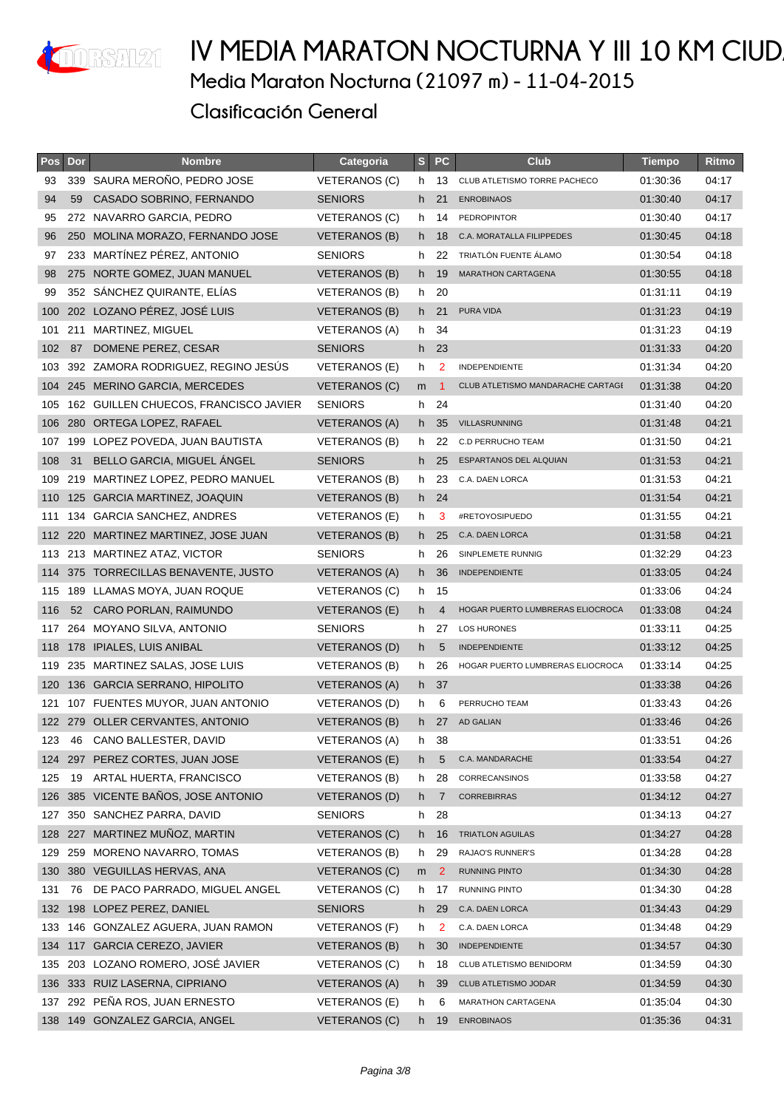

| Pos | Dor | <b>Nombre</b>                         | Categoria            | S <sub>1</sub> | <b>PC</b>        | <b>Club</b>                       | <b>Tiempo</b> | Ritmo |
|-----|-----|---------------------------------------|----------------------|----------------|------------------|-----------------------------------|---------------|-------|
| 93  |     | 339 SAURA MERONO, PEDRO JOSE          | <b>VETERANOS (C)</b> | h.             | 13               | CLUB ATLETISMO TORRE PACHECO      | 01:30:36      | 04:17 |
| 94  | 59  | CASADO SOBRINO, FERNANDO              | <b>SENIORS</b>       | h.             | 21               | <b>ENROBINAOS</b>                 | 01:30:40      | 04:17 |
| 95  |     | 272 NAVARRO GARCIA, PEDRO             | VETERANOS (C)        | h.             | 14               | <b>PEDROPINTOR</b>                | 01:30:40      | 04:17 |
| 96  |     | 250 MOLINA MORAZO, FERNANDO JOSE      | <b>VETERANOS (B)</b> |                | h 18             | C.A. MORATALLA FILIPPEDES         | 01:30:45      | 04:18 |
| 97  |     | 233 MARTÍNEZ PÉREZ, ANTONIO           | <b>SENIORS</b>       | h.             | 22               | TRIATLÓN FUENTE ÁLAMO             | 01:30:54      | 04:18 |
| 98  |     | 275 NORTE GOMEZ, JUAN MANUEL          | VETERANOS (B)        |                | h 19             | <b>MARATHON CARTAGENA</b>         | 01:30:55      | 04:18 |
| 99  |     | 352 SÁNCHEZ QUIRANTE, ELÍAS           | VETERANOS (B)        |                | h 20             |                                   | 01:31:11      | 04:19 |
| 100 |     | 202 LOZANO PÉREZ, JOSÉ LUIS           | VETERANOS (B)        | h -            | 21               | PURA VIDA                         | 01:31:23      | 04:19 |
| 101 |     | 211 MARTINEZ, MIGUEL                  | VETERANOS (A)        | h.             | 34               |                                   | 01:31:23      | 04:19 |
| 102 | 87  | DOMENE PEREZ, CESAR                   | <b>SENIORS</b>       | h -            | 23               |                                   | 01:31:33      | 04:20 |
| 103 |     | 392 ZAMORA RODRIGUEZ, REGINO JESUS    | VETERANOS (E)        | h.             | 2                | <b>INDEPENDIENTE</b>              | 01:31:34      | 04:20 |
|     |     | 104 245 MERINO GARCIA, MERCEDES       | VETERANOS (C)        | m              | $\blacksquare$ 1 | CLUB ATLETISMO MANDARACHE CARTAGE | 01:31:38      | 04:20 |
| 105 |     | 162 GUILLEN CHUECOS, FRANCISCO JAVIER | <b>SENIORS</b>       |                | h 24             |                                   | 01:31:40      | 04:20 |
| 106 |     | 280 ORTEGA LOPEZ, RAFAEL              | <b>VETERANOS (A)</b> | h.             | 35               | VILLASRUNNING                     | 01:31:48      | 04:21 |
| 107 |     | 199 LOPEZ POVEDA, JUAN BAUTISTA       | VETERANOS (B)        | h.             | 22               | C.D PERRUCHO TEAM                 | 01:31:50      | 04:21 |
| 108 | 31  | BELLO GARCIA, MIGUEL ANGEL            | <b>SENIORS</b>       | h              | 25               | ESPARTANOS DEL ALQUIAN            | 01:31:53      | 04:21 |
|     |     | 109 219 MARTINEZ LOPEZ, PEDRO MANUEL  | <b>VETERANOS (B)</b> | h.             | 23               | C.A. DAEN LORCA                   | 01:31:53      | 04:21 |
|     |     | 110 125 GARCIA MARTINEZ, JOAQUIN      | <b>VETERANOS (B)</b> |                | h 24             |                                   | 01:31:54      | 04:21 |
| 111 |     | 134 GARCIA SANCHEZ, ANDRES            | VETERANOS (E)        | h.             | 3                | #RETOYOSIPUEDO                    | 01:31:55      | 04:21 |
| 112 |     | 220 MARTINEZ MARTINEZ, JOSE JUAN      | <b>VETERANOS (B)</b> | h.             | 25               | C.A. DAEN LORCA                   | 01:31:58      | 04:21 |
|     |     | 113 213 MARTINEZ ATAZ, VICTOR         | <b>SENIORS</b>       | h.             | 26               | SINPLEMETE RUNNIG                 | 01:32:29      | 04:23 |
| 114 |     | 375 TORRECILLAS BENAVENTE, JUSTO      | VETERANOS (A)        | h -            | 36               | <b>INDEPENDIENTE</b>              | 01:33:05      | 04:24 |
|     |     | 115 189 LLAMAS MOYA, JUAN ROQUE       | VETERANOS (C)        |                | h 15             |                                   | 01:33:06      | 04:24 |
| 116 | 52  | CARO PORLAN, RAIMUNDO                 | <b>VETERANOS (E)</b> | h.             | $\overline{4}$   | HOGAR PUERTO LUMBRERAS ELIOCROCA  | 01:33:08      | 04:24 |
| 117 |     | 264 MOYANO SILVA, ANTONIO             | <b>SENIORS</b>       | h.             | 27               | LOS HURONES                       | 01:33:11      | 04:25 |
|     |     | 118 178 IPIALES, LUIS ANIBAL          | VETERANOS (D)        | h.             | 5                | <b>INDEPENDIENTE</b>              | 01:33:12      | 04:25 |
| 119 |     | 235 MARTINEZ SALAS, JOSE LUIS         | <b>VETERANOS (B)</b> | h.             | 26               | HOGAR PUERTO LUMBRERAS ELIOCROCA  | 01:33:14      | 04:25 |
| 120 |     | 136 GARCIA SERRANO, HIPOLITO          | <b>VETERANOS (A)</b> |                | h 37             |                                   | 01:33:38      | 04:26 |
| 121 |     | 107 FUENTES MUYOR, JUAN ANTONIO       | VETERANOS (D)        | h.             | 6                | PERRUCHO TEAM                     | 01:33:43      | 04:26 |
|     |     | 122 279 OLLER CERVANTES, ANTONIO      | <b>VETERANOS (B)</b> | h.             | 27               | <b>AD GALIAN</b>                  | 01:33:46      | 04:26 |
| 123 | 46  | CANO BALLESTER, DAVID                 | <b>VETERANOS (A)</b> | h.             | 38               |                                   | 01:33:51      | 04:26 |
|     |     | 124 297 PEREZ CORTES, JUAN JOSE       | VETERANOS (E)        | h.             | 5                | C.A. MANDARACHE                   | 01:33:54      | 04:27 |
| 125 | 19  | ARTAL HUERTA, FRANCISCO               | <b>VETERANOS (B)</b> | h.             | 28               | CORRECANSINOS                     | 01:33:58      | 04:27 |
| 126 |     | 385 VICENTE BAÑOS, JOSE ANTONIO       | VETERANOS (D)        | h.             | $\overline{7}$   | <b>CORREBIRRAS</b>                | 01:34:12      | 04:27 |
| 127 |     | 350 SANCHEZ PARRA, DAVID              | <b>SENIORS</b>       | h.             | 28               |                                   | 01:34:13      | 04:27 |
| 128 |     | 227 MARTINEZ MUÑOZ, MARTIN            | VETERANOS (C)        | h.             | 16               | <b>TRIATLON AGUILAS</b>           | 01:34:27      | 04:28 |
| 129 |     | 259 MORENO NAVARRO, TOMAS             | <b>VETERANOS (B)</b> | h.             | 29               | RAJAO'S RUNNER'S                  | 01:34:28      | 04:28 |
| 130 |     | 380 VEGUILLAS HERVAS, ANA             | VETERANOS (C)        | m              | $\overline{2}$   | RUNNING PINTO                     | 01:34:30      | 04:28 |
| 131 | 76  | DE PACO PARRADO, MIGUEL ANGEL         | VETERANOS (C)        | h              | 17               | <b>RUNNING PINTO</b>              | 01:34:30      | 04:28 |
| 132 |     | 198 LOPEZ PEREZ, DANIEL               | <b>SENIORS</b>       | h.             | 29               | C.A. DAEN LORCA                   | 01:34:43      | 04:29 |
| 133 |     | 146 GONZALEZ AGUERA, JUAN RAMON       | VETERANOS (F)        | h              | 2                | C.A. DAEN LORCA                   | 01:34:48      | 04:29 |
| 134 |     | 117 GARCIA CEREZO, JAVIER             | <b>VETERANOS (B)</b> | h.             | 30               | <b>INDEPENDIENTE</b>              | 01:34:57      | 04:30 |
| 135 |     | 203 LOZANO ROMERO, JOSÉ JAVIER        | VETERANOS (C)        | h.             | 18               | CLUB ATLETISMO BENIDORM           | 01:34:59      | 04:30 |
| 136 |     | 333 RUIZ LASERNA, CIPRIANO            | <b>VETERANOS (A)</b> | h.             | 39               | CLUB ATLETISMO JODAR              | 01:34:59      | 04:30 |
| 137 |     | 292 PEÑA ROS, JUAN ERNESTO            | VETERANOS (E)        | h              | 6                | MARATHON CARTAGENA                | 01:35:04      | 04:30 |
| 138 |     | 149 GONZALEZ GARCIA, ANGEL            | VETERANOS (C)        | h.             | 19               | <b>ENROBINAOS</b>                 | 01:35:36      | 04:31 |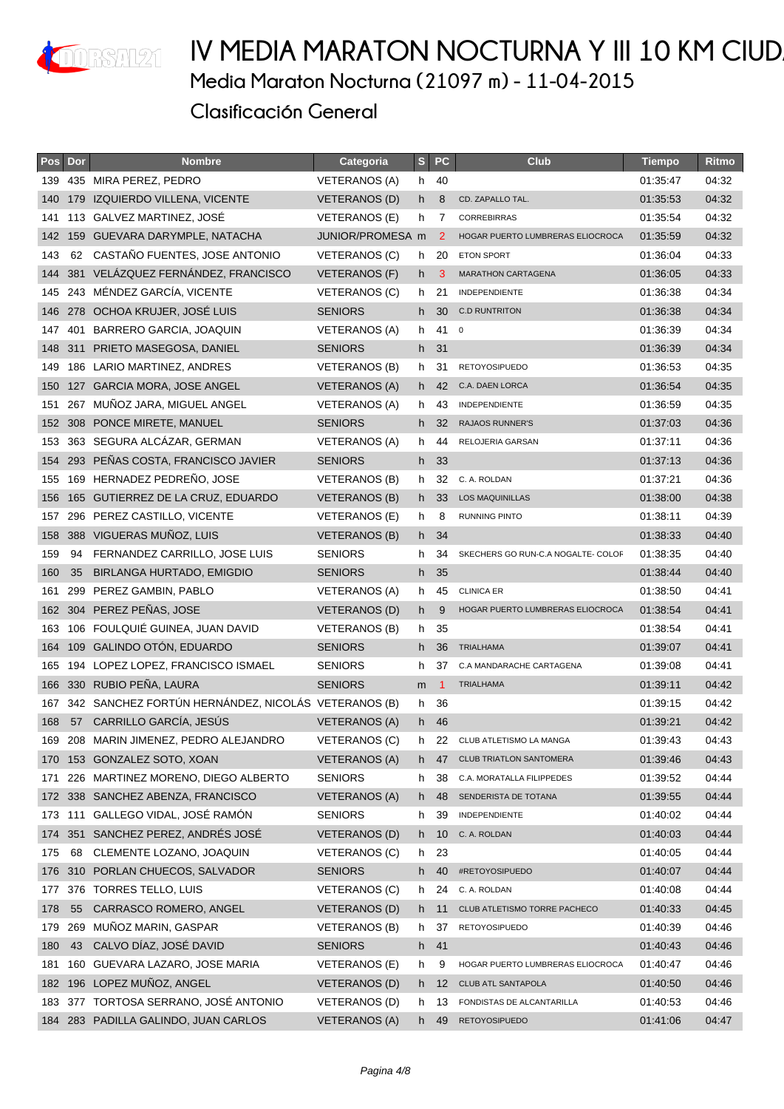

| Pos | Dor | <b>Nombre</b>                                       | Categoria            | $S_{\parallel}$ | <b>PC</b>      | <b>Club</b>                        | <b>Tiempo</b> | Ritmo |
|-----|-----|-----------------------------------------------------|----------------------|-----------------|----------------|------------------------------------|---------------|-------|
| 139 |     | 435 MIRA PEREZ, PEDRO                               | VETERANOS (A)        | h –             | 40             |                                    | 01:35:47      | 04:32 |
| 140 |     | 179 IZQUIERDO VILLENA, VICENTE                      | <b>VETERANOS (D)</b> | h.              | 8              | CD. ZAPALLO TAL.                   | 01:35:53      | 04:32 |
| 141 |     | 113 GALVEZ MARTINEZ, JOSÉ                           | <b>VETERANOS (E)</b> | h.              | 7              | <b>CORREBIRRAS</b>                 | 01:35:54      | 04:32 |
| 142 |     | 159 GUEVARA DARYMPLE, NATACHA                       | JUNIOR/PROMESA m     |                 | 2              | HOGAR PUERTO LUMBRERAS ELIOCROCA   | 01:35:59      | 04:32 |
| 143 | 62  | CASTAÑO FUENTES, JOSE ANTONIO                       | VETERANOS (C)        | h.              | 20             | <b>ETON SPORT</b>                  | 01:36:04      | 04:33 |
| 144 |     | 381 VELÁZQUEZ FERNÁNDEZ, FRANCISCO                  | <b>VETERANOS (F)</b> | h -             | 3              | <b>MARATHON CARTAGENA</b>          | 01:36:05      | 04:33 |
| 145 |     | 243 MÉNDEZ GARCÍA, VICENTE                          | <b>VETERANOS (C)</b> | h.              | 21             | INDEPENDIENTE                      | 01:36:38      | 04:34 |
| 146 |     | 278 OCHOA KRUJER, JOSÉ LUIS                         | <b>SENIORS</b>       | h.              | 30             | <b>C.D RUNTRITON</b>               | 01:36:38      | 04:34 |
| 147 |     | 401 BARRERO GARCIA, JOAQUIN                         | VETERANOS (A)        | h.              | $41^{\circ}$   |                                    | 01:36:39      | 04:34 |
| 148 |     | 311 PRIETO MASEGOSA, DANIEL                         | <b>SENIORS</b>       |                 | h 31           |                                    | 01:36:39      | 04:34 |
| 149 |     | 186 LARIO MARTINEZ, ANDRES                          | VETERANOS (B)        | h.              | 31             | <b>RETOYOSIPUEDO</b>               | 01:36:53      | 04:35 |
| 150 |     | 127 GARCIA MORA, JOSE ANGEL                         | VETERANOS (A)        | h.              | 42             | C.A. DAEN LORCA                    | 01:36:54      | 04:35 |
| 151 |     | 267 MUÑOZ JARA, MIGUEL ANGEL                        | VETERANOS (A)        | h.              | 43             | INDEPENDIENTE                      | 01:36:59      | 04:35 |
| 152 |     | 308 PONCE MIRETE, MANUEL                            | <b>SENIORS</b>       | h.              | 32             | <b>RAJAOS RUNNER'S</b>             | 01:37:03      | 04:36 |
| 153 |     | 363 SEGURA ALCAZAR, GERMAN                          | <b>VETERANOS (A)</b> | h.              | 44             | RELOJERIA GARSAN                   | 01:37:11      | 04:36 |
| 154 |     | 293 PEÑAS COSTA, FRANCISCO JAVIER                   | <b>SENIORS</b>       | h.              | 33             |                                    | 01:37:13      | 04:36 |
| 155 |     | 169 HERNADEZ PEDREÑO, JOSE                          | VETERANOS (B)        | h.              | 32             | C. A. ROLDAN                       | 01:37:21      | 04:36 |
| 156 |     | 165 GUTIERREZ DE LA CRUZ, EDUARDO                   | <b>VETERANOS (B)</b> | h.              | 33             | <b>LOS MAQUINILLAS</b>             | 01:38:00      | 04:38 |
| 157 |     | 296 PEREZ CASTILLO, VICENTE                         | VETERANOS (E)        | h.              | 8              | <b>RUNNING PINTO</b>               | 01:38:11      | 04:39 |
| 158 |     | 388 VIGUERAS MUÑOZ, LUIS                            | <b>VETERANOS (B)</b> | h -             | 34             |                                    | 01:38:33      | 04:40 |
| 159 | 94  | FERNANDEZ CARRILLO, JOSE LUIS                       | <b>SENIORS</b>       | h.              | 34             | SKECHERS GO RUN-C.A NOGALTE- COLOF | 01:38:35      | 04:40 |
| 160 | 35  | <b>BIRLANGA HURTADO, EMIGDIO</b>                    | <b>SENIORS</b>       | h.              | 35             |                                    | 01:38:44      | 04:40 |
| 161 |     | 299 PEREZ GAMBIN, PABLO                             | VETERANOS (A)        | h.              | 45             | <b>CLINICA ER</b>                  | 01:38:50      | 04:41 |
| 162 |     | 304 PEREZ PEÑAS, JOSE                               | <b>VETERANOS (D)</b> | h.              | 9              | HOGAR PUERTO LUMBRERAS ELIOCROCA   | 01:38:54      | 04:41 |
| 163 |     | 106 FOULQUIÉ GUINEA, JUAN DAVID                     | <b>VETERANOS (B)</b> | h.              | 35             |                                    | 01:38:54      | 04:41 |
| 164 |     | 109 GALINDO OTÓN, EDUARDO                           | <b>SENIORS</b>       | h.              | 36             | <b>TRIALHAMA</b>                   | 01:39:07      | 04:41 |
| 165 |     | 194 LOPEZ LOPEZ, FRANCISCO ISMAEL                   | <b>SENIORS</b>       | h.              | 37             | C.A MANDARACHE CARTAGENA           | 01:39:08      | 04:41 |
|     |     | 166 330 RUBIO PEÑA, LAURA                           | <b>SENIORS</b>       | m               | $\blacksquare$ | <b>TRIALHAMA</b>                   | 01:39:11      | 04:42 |
| 167 |     | 342 SANCHEZ FORTÚN HERNÁNDEZ, NICOLÁS VETERANOS (B) |                      | h.              | 36             |                                    | 01:39:15      | 04:42 |
| 168 |     | 57 CARRILLO GARCÍA, JESÚS                           | <b>VETERANOS (A)</b> | h -             | 46             |                                    | 01:39:21      | 04:42 |
|     |     | 169 208 MARIN JIMENEZ, PEDRO ALEJANDRO              | <b>VETERANOS (C)</b> | h.              | 22             | CLUB ATLETISMO LA MANGA            | 01:39:43      | 04:43 |
| 170 |     | 153 GONZALEZ SOTO, XOAN                             | <b>VETERANOS (A)</b> | h -             | 47             | <b>CLUB TRIATLON SANTOMERA</b>     | 01:39:46      | 04:43 |
| 171 |     | 226 MARTINEZ MORENO, DIEGO ALBERTO                  | <b>SENIORS</b>       | h               | 38             | C.A. MORATALLA FILIPPEDES          | 01:39:52      | 04:44 |
| 172 |     | 338 SANCHEZ ABENZA, FRANCISCO                       | <b>VETERANOS (A)</b> | h.              | 48             | SENDERISTA DE TOTANA               | 01:39:55      | 04:44 |
| 173 | 111 | GALLEGO VIDAL, JOSÉ RAMÓN                           | <b>SENIORS</b>       | h               | 39             | INDEPENDIENTE                      | 01:40:02      | 04:44 |
| 174 |     | 351 SANCHEZ PEREZ, ANDRÉS JOSÉ                      | <b>VETERANOS (D)</b> | h.              | 10             | C. A. ROLDAN                       | 01:40:03      | 04:44 |
| 175 | 68  | CLEMENTE LOZANO, JOAQUIN                            | <b>VETERANOS (C)</b> |                 | h 23           |                                    | 01:40:05      | 04:44 |
| 176 |     | 310 PORLAN CHUECOS, SALVADOR                        | <b>SENIORS</b>       | h.              | 40             | #RETOYOSIPUEDO                     | 01:40:07      | 04:44 |
| 177 |     | 376 TORRES TELLO, LUIS                              | <b>VETERANOS (C)</b> | h.              | 24             | C. A. ROLDAN                       | 01:40:08      | 04:44 |
| 178 | 55  | CARRASCO ROMERO, ANGEL                              | <b>VETERANOS (D)</b> | h.              | 11             | CLUB ATLETISMO TORRE PACHECO       | 01:40:33      | 04:45 |
| 179 | 269 | MUNOZ MARIN, GASPAR                                 | VETERANOS (B)        | h               | 37             | <b>RETOYOSIPUEDO</b>               | 01:40:39      | 04:46 |
| 180 | 43  | CALVO DÍAZ, JOSÉ DAVID                              | <b>SENIORS</b>       | h               | 41             |                                    | 01:40:43      | 04:46 |
| 181 | 160 | GUEVARA LAZARO, JOSE MARIA                          | VETERANOS (E)        | h               | 9              | HOGAR PUERTO LUMBRERAS ELIOCROCA   | 01:40:47      | 04:46 |
| 182 |     | 196 LOPEZ MUÑOZ, ANGEL                              | VETERANOS (D)        | h.              | 12             | CLUB ATL SANTAPOLA                 | 01:40:50      | 04:46 |
|     |     | 183 377 TORTOSA SERRANO, JOSÉ ANTONIO               | VETERANOS (D)        | h               | 13             | FONDISTAS DE ALCANTARILLA          | 01:40:53      | 04:46 |
|     |     | 184 283 PADILLA GALINDO, JUAN CARLOS                | <b>VETERANOS (A)</b> | h -             | 49             | <b>RETOYOSIPUEDO</b>               | 01:41:06      | 04:47 |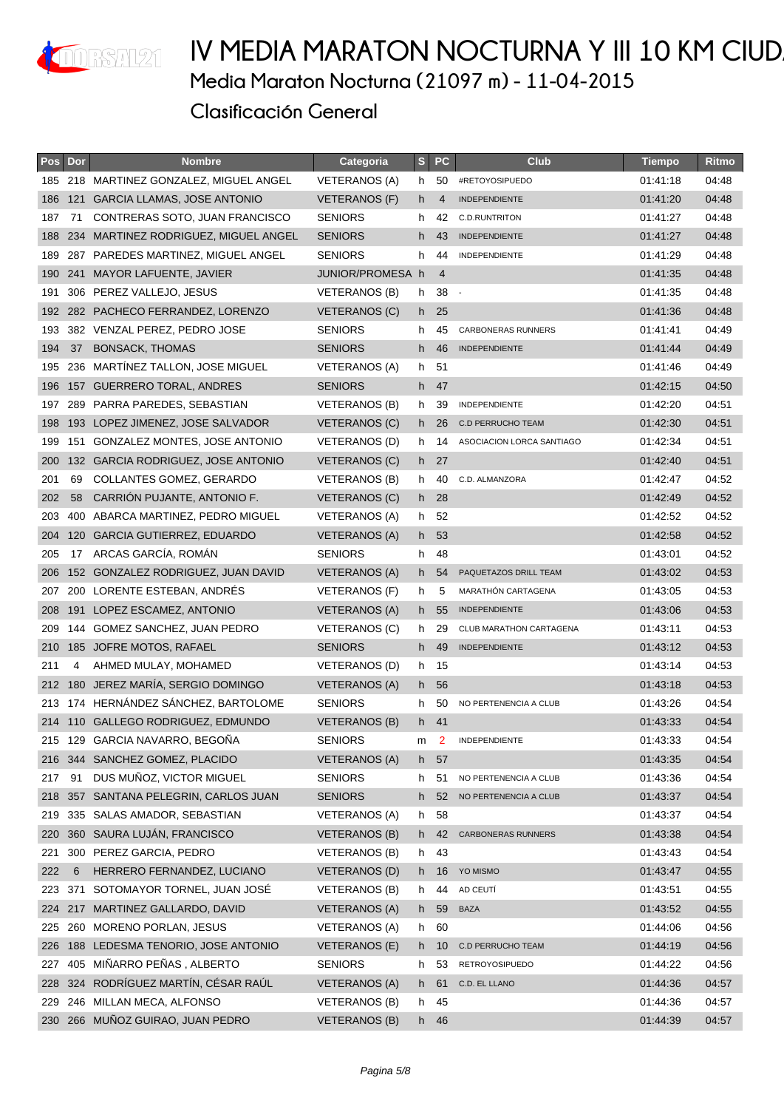

#### IV MEDIA MARATON NOCTURNA Y III 10 KM CIUD **Media Maraton Nocturna (21097 m) - 11-04-2015 Clasificación General**

|     | Pos Dor | <b>Nombre</b>                        | Categoria            |    | S PC           | <b>Club</b>               | <b>Tiempo</b> | Ritmo |
|-----|---------|--------------------------------------|----------------------|----|----------------|---------------------------|---------------|-------|
| 185 |         | 218 MARTINEZ GONZALEZ, MIGUEL ANGEL  | <b>VETERANOS (A)</b> | h. | 50             | #RETOYOSIPUEDO            | 01:41:18      | 04:48 |
| 186 |         | 121 GARCIA LLAMAS, JOSE ANTONIO      | <b>VETERANOS (F)</b> | h. | $\overline{4}$ | <b>INDEPENDIENTE</b>      | 01:41:20      | 04:48 |
| 187 | 71      | CONTRERAS SOTO, JUAN FRANCISCO       | <b>SENIORS</b>       | h  | 42             | <b>C.D.RUNTRITON</b>      | 01:41:27      | 04:48 |
| 188 |         | 234 MARTINEZ RODRIGUEZ, MIGUEL ANGEL | <b>SENIORS</b>       | h. | 43             | <b>INDEPENDIENTE</b>      | 01:41:27      | 04:48 |
| 189 |         | 287 PAREDES MARTINEZ, MIGUEL ANGEL   | <b>SENIORS</b>       | h  | 44             | <b>INDEPENDIENTE</b>      | 01:41:29      | 04:48 |
| 190 |         | 241 MAYOR LAFUENTE, JAVIER           | JUNIOR/PROMESA h     |    | $\overline{4}$ |                           | 01:41:35      | 04:48 |
| 191 |         | 306 PEREZ VALLEJO, JESUS             | <b>VETERANOS (B)</b> | h  | 38             | $\sim$                    | 01:41:35      | 04:48 |
| 192 |         | 282 PACHECO FERRANDEZ, LORENZO       | <b>VETERANOS (C)</b> | h. | 25             |                           | 01:41:36      | 04:48 |
| 193 |         | 382 VENZAL PEREZ, PEDRO JOSE         | <b>SENIORS</b>       | h. | 45             | <b>CARBONERAS RUNNERS</b> | 01:41:41      | 04:49 |
| 194 | 37      | <b>BONSACK, THOMAS</b>               | <b>SENIORS</b>       | h. | 46             | <b>INDEPENDIENTE</b>      | 01:41:44      | 04:49 |
| 195 |         | 236 MARTINEZ TALLON, JOSE MIGUEL     | <b>VETERANOS (A)</b> | h. | 51             |                           | 01:41:46      | 04:49 |
| 196 |         | 157 GUERRERO TORAL, ANDRES           | <b>SENIORS</b>       | h. | 47             |                           | 01:42:15      | 04:50 |
| 197 |         | 289 PARRA PAREDES, SEBASTIAN         | VETERANOS (B)        | h  | 39             | <b>INDEPENDIENTE</b>      | 01:42:20      | 04:51 |
| 198 |         | 193 LOPEZ JIMENEZ, JOSE SALVADOR     | <b>VETERANOS (C)</b> | h. | 26             | <b>C.D PERRUCHO TEAM</b>  | 01:42:30      | 04:51 |
| 199 |         | 151 GONZALEZ MONTES, JOSE ANTONIO    | VETERANOS (D)        | h. | 14             | ASOCIACION LORCA SANTIAGO | 01:42:34      | 04:51 |
| 200 |         | 132 GARCIA RODRIGUEZ, JOSE ANTONIO   | <b>VETERANOS (C)</b> |    | h 27           |                           | 01:42:40      | 04:51 |
| 201 | 69      | COLLANTES GOMEZ, GERARDO             | <b>VETERANOS (B)</b> | h. | 40             | C.D. ALMANZORA            | 01:42:47      | 04:52 |
| 202 | 58      | CARRION PUJANTE, ANTONIO F.          | VETERANOS (C)        | h. | 28             |                           | 01:42:49      | 04:52 |
| 203 |         | 400 ABARCA MARTINEZ, PEDRO MIGUEL    | <b>VETERANOS (A)</b> | h. | 52             |                           | 01:42:52      | 04:52 |
| 204 |         | 120 GARCIA GUTIERREZ, EDUARDO        | <b>VETERANOS (A)</b> | h. | 53             |                           | 01:42:58      | 04:52 |
| 205 | 17      | ARCAS GARCÍA, ROMÁN                  | <b>SENIORS</b>       | h. | 48             |                           | 01:43:01      | 04:52 |
| 206 |         | 152 GONZALEZ RODRIGUEZ, JUAN DAVID   | VETERANOS (A)        | h. | 54             | PAQUETAZOS DRILL TEAM     | 01:43:02      | 04:53 |
| 207 |         | 200 LORENTE ESTEBAN, ANDRÉS          | VETERANOS (F)        | h  | 5              | MARATHÓN CARTAGENA        | 01:43:05      | 04:53 |
| 208 |         | 191 LOPEZ ESCAMEZ, ANTONIO           | <b>VETERANOS (A)</b> | h. | 55             | <b>INDEPENDIENTE</b>      | 01:43:06      | 04:53 |
| 209 | 144     | GOMEZ SANCHEZ, JUAN PEDRO            | <b>VETERANOS (C)</b> | h. | 29             | CLUB MARATHON CARTAGENA   | 01:43:11      | 04:53 |
| 210 |         | 185 JOFRE MOTOS, RAFAEL              | <b>SENIORS</b>       | h. | 49             | <b>INDEPENDIENTE</b>      | 01:43:12      | 04:53 |
| 211 | 4       | AHMED MULAY, MOHAMED                 | VETERANOS (D)        |    | h 15           |                           | 01:43:14      | 04:53 |
| 212 | 180     | JEREZ MARÍA, SERGIO DOMINGO          | <b>VETERANOS (A)</b> | h. | 56             |                           | 01:43:18      | 04:53 |
| 213 |         | 174 HERNÁNDEZ SÁNCHEZ, BARTOLOME     | <b>SENIORS</b>       | h  | 50             | NO PERTENENCIA A CLUB     | 01:43:26      | 04:54 |
|     |         | 214 110 GALLEGO RODRIGUEZ, EDMUNDO   | VETERANOS (B)        |    | h 41           |                           | 01:43:33      | 04:54 |
|     |         | 215 129 GARCIA NAVARRO, BEGOÑA       | <b>SENIORS</b>       | m  |                | INDEPENDIENTE             | 01:43:33      | 04:54 |
|     |         | 216 344 SANCHEZ GOMEZ, PLACIDO       | <b>VETERANOS (A)</b> | h  | 57             |                           | 01:43:35      | 04:54 |
| 217 | 91      | DUS MUÑOZ, VICTOR MIGUEL             | <b>SENIORS</b>       | h  | 51             | NO PERTENENCIA A CLUB     | 01:43:36      | 04:54 |
| 218 |         | 357 SANTANA PELEGRIN, CARLOS JUAN    | <b>SENIORS</b>       | h. | 52             | NO PERTENENCIA A CLUB     | 01:43:37      | 04:54 |
|     |         | 219 335 SALAS AMADOR, SEBASTIAN      | <b>VETERANOS (A)</b> | h  | 58             |                           | 01:43:37      | 04:54 |
| 220 | 360     | SAURA LUJÁN, FRANCISCO               | <b>VETERANOS (B)</b> | h  | 42             | <b>CARBONERAS RUNNERS</b> | 01:43:38      | 04:54 |
| 221 |         | 300 PEREZ GARCIA, PEDRO              | VETERANOS (B)        | h. | 43             |                           | 01:43:43      | 04:54 |
| 222 | 6       | HERRERO FERNANDEZ, LUCIANO           | <b>VETERANOS (D)</b> | h. | 16             | YO MISMO                  | 01:43:47      | 04:55 |
| 223 | 371     | SOTOMAYOR TORNEL, JUAN JOSÉ          | <b>VETERANOS (B)</b> | h  | 44             | AD CEUTÍ                  | 01:43:51      | 04:55 |
| 224 | 217     | MARTINEZ GALLARDO, DAVID             | <b>VETERANOS (A)</b> | h  | 59             | <b>BAZA</b>               | 01:43:52      | 04:55 |
|     |         | 225 260 MORENO PORLAN, JESUS         | VETERANOS (A)        | h. | 60             |                           | 01:44:06      | 04:56 |
| 226 | 188     | LEDESMA TENORIO, JOSE ANTONIO        | VETERANOS (E)        | h. | 10             | <b>C.D PERRUCHO TEAM</b>  | 01:44:19      | 04:56 |
| 227 |         | 405 MIÑARRO PEÑAS, ALBERTO           | <b>SENIORS</b>       | h  | 53             | <b>RETROYOSIPUEDO</b>     | 01:44:22      | 04:56 |
| 228 |         | 324 RODRÍGUEZ MARTÍN, CÉSAR RAÚL     | <b>VETERANOS (A)</b> | h  | 61             | C.D. EL LLANO             | 01:44:36      | 04:57 |
| 229 |         | 246 MILLAN MECA, ALFONSO             | VETERANOS (B)        | h. | 45             |                           | 01:44:36      | 04:57 |
|     |         | 230 266 MUÑOZ GUIRAO, JUAN PEDRO     | <b>VETERANOS (B)</b> |    | h 46           |                           | 01:44:39      | 04:57 |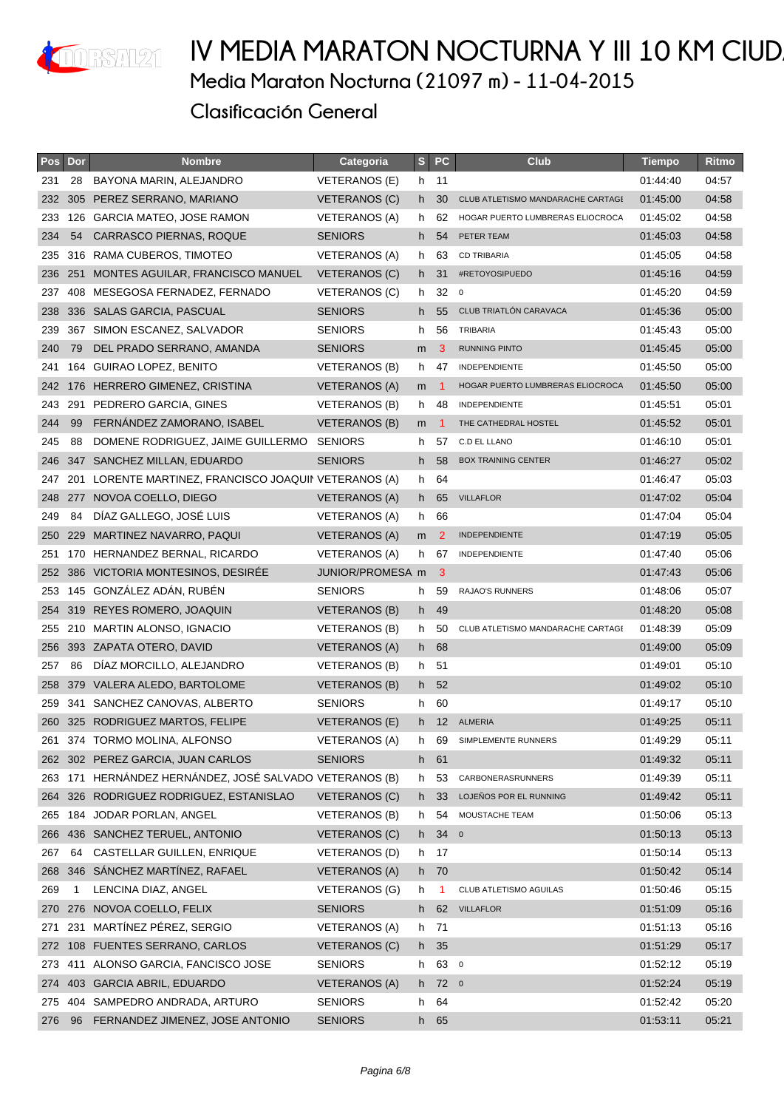

| Pos | Dor | <b>Nombre</b>                                         | Categoria            | S   | <b>PC</b>         | <b>Club</b>                       | <b>Tiempo</b> | Ritmo |
|-----|-----|-------------------------------------------------------|----------------------|-----|-------------------|-----------------------------------|---------------|-------|
| 231 | 28  | BAYONA MARIN, ALEJANDRO                               | <b>VETERANOS (E)</b> | h.  | 11                |                                   | 01:44:40      | 04:57 |
| 232 | 305 | PEREZ SERRANO, MARIANO                                | VETERANOS (C)        | h.  | 30                | CLUB ATLETISMO MANDARACHE CARTAGE | 01:45:00      | 04:58 |
| 233 |     | 126 GARCIA MATEO, JOSE RAMON                          | VETERANOS (A)        | h.  | 62                | HOGAR PUERTO LUMBRERAS ELIOCROCA  | 01:45:02      | 04:58 |
| 234 | 54  | CARRASCO PIERNAS, ROQUE                               | <b>SENIORS</b>       | h.  | 54                | PETER TEAM                        | 01:45:03      | 04:58 |
| 235 | 316 | RAMA CUBEROS, TIMOTEO                                 | <b>VETERANOS (A)</b> | h   | 63                | <b>CD TRIBARIA</b>                | 01:45:05      | 04:58 |
| 236 |     | 251 MONTES AGUILAR, FRANCISCO MANUEL                  | VETERANOS (C)        | h.  | 31                | #RETOYOSIPUEDO                    | 01:45:16      | 04:59 |
|     |     | 237 408 MESEGOSA FERNADEZ, FERNADO                    | VETERANOS (C)        | h.  | 32                | $\overline{\mathbf{0}}$           | 01:45:20      | 04:59 |
| 238 |     | 336 SALAS GARCIA, PASCUAL                             | <b>SENIORS</b>       | h.  | 55                | CLUB TRIATLÓN CARAVACA            | 01:45:36      | 05:00 |
| 239 |     | 367 SIMON ESCANEZ, SALVADOR                           | <b>SENIORS</b>       | h.  | 56                | <b>TRIBARIA</b>                   | 01:45:43      | 05:00 |
| 240 | 79  | DEL PRADO SERRANO, AMANDA                             | <b>SENIORS</b>       | m   | 3                 | <b>RUNNING PINTO</b>              | 01:45:45      | 05:00 |
| 241 |     | 164 GUIRAO LOPEZ, BENITO                              | VETERANOS (B)        | h.  | 47                | <b>INDEPENDIENTE</b>              | 01:45:50      | 05:00 |
|     |     | 242 176 HERRERO GIMENEZ, CRISTINA                     | VETERANOS (A)        | m   | - 1               | HOGAR PUERTO LUMBRERAS ELIOCROCA  | 01:45:50      | 05:00 |
| 243 |     | 291 PEDRERO GARCIA, GINES                             | VETERANOS (B)        | h.  | 48                | INDEPENDIENTE                     | 01:45:51      | 05:01 |
| 244 | 99  | FERNÁNDEZ ZAMORANO, ISABEL                            | VETERANOS (B)        | m   | $\overline{1}$    | THE CATHEDRAL HOSTEL              | 01:45:52      | 05:01 |
| 245 | 88  | DOMENE RODRIGUEZ, JAIME GUILLERMO                     | <b>SENIORS</b>       | h.  | 57                | C.D EL LLANO                      | 01:46:10      | 05:01 |
| 246 |     | 347 SANCHEZ MILLAN, EDUARDO                           | <b>SENIORS</b>       | h.  | 58                | <b>BOX TRAINING CENTER</b>        | 01:46:27      | 05:02 |
| 247 |     | 201 LORENTE MARTINEZ, FRANCISCO JOAQUIN VETERANOS (A) |                      | h.  | 64                |                                   | 01:46:47      | 05:03 |
| 248 |     | 277 NOVOA COELLO, DIEGO                               | <b>VETERANOS (A)</b> | h.  | 65                | <b>VILLAFLOR</b>                  | 01:47:02      | 05:04 |
| 249 | 84  | DÍAZ GALLEGO, JOSÉ LUIS                               | <b>VETERANOS (A)</b> | h.  | 66                |                                   | 01:47:04      | 05:04 |
| 250 | 229 | MARTINEZ NAVARRO, PAQUI                               | <b>VETERANOS (A)</b> | m   | 2                 | <b>INDEPENDIENTE</b>              | 01:47:19      | 05:05 |
| 251 |     | 170 HERNANDEZ BERNAL, RICARDO                         | VETERANOS (A)        | h.  | 67                | INDEPENDIENTE                     | 01:47:40      | 05:06 |
| 252 |     | 386 VICTORIA MONTESINOS, DESIRÉE                      | JUNIOR/PROMESA m     |     | -3                |                                   | 01:47:43      | 05:06 |
| 253 |     | 145 GONZÁLEZ ADÁN, RUBÉN                              | <b>SENIORS</b>       | h.  | 59                | RAJAO'S RUNNERS                   | 01:48:06      | 05:07 |
| 254 |     | 319 REYES ROMERO, JOAQUIN                             | VETERANOS (B)        | h.  | 49                |                                   | 01:48:20      | 05:08 |
| 255 |     | 210 MARTIN ALONSO, IGNACIO                            | VETERANOS (B)        | h.  | 50                | CLUB ATLETISMO MANDARACHE CARTAGE | 01:48:39      | 05:09 |
| 256 |     | 393 ZAPATA OTERO, DAVID                               | VETERANOS (A)        |     | h 68              |                                   | 01:49:00      | 05:09 |
| 257 | 86  | DÍAZ MORCILLO, ALEJANDRO                              | <b>VETERANOS (B)</b> | h.  | 51                |                                   | 01:49:01      | 05:10 |
| 258 |     | 379 VALERA ALEDO, BARTOLOME                           | VETERANOS (B)        | h.  | 52                |                                   | 01:49:02      | 05:10 |
| 259 |     | 341 SANCHEZ CANOVAS, ALBERTO                          | <b>SENIORS</b>       | h.  | 60                |                                   | 01:49:17      | 05:10 |
| 260 |     | 325 RODRIGUEZ MARTOS, FELIPE                          | VETERANOS (E)        | h.  | $12 \overline{ }$ | <b>ALMERIA</b>                    | 01:49:25      | 05:11 |
| 261 |     | 374 TORMO MOLINA, ALFONSO                             | <b>VETERANOS (A)</b> | h.  | 69                | SIMPLEMENTE RUNNERS               | 01:49:29      | 05:11 |
| 262 |     | 302 PEREZ GARCIA, JUAN CARLOS                         | <b>SENIORS</b>       |     | h 61              |                                   | 01:49:32      | 05:11 |
| 263 |     | 171 HERNÁNDEZ HERNÁNDEZ, JOSÉ SALVADO VETERANOS (B)   |                      | h.  | 53                | CARBONERASRUNNERS                 | 01:49:39      | 05:11 |
| 264 |     | 326 RODRIGUEZ RODRIGUEZ, ESTANISLAO                   | <b>VETERANOS (C)</b> | h.  | 33                | LOJEÑOS POR EL RUNNING            | 01:49:42      | 05:11 |
| 265 | 184 | JODAR PORLAN, ANGEL                                   | VETERANOS (B)        | h   | 54                | MOUSTACHE TEAM                    | 01:50:06      | 05:13 |
| 266 |     | 436 SANCHEZ TERUEL, ANTONIO                           | <b>VETERANOS (C)</b> | h   | 340               |                                   | 01:50:13      | 05:13 |
| 267 | 64  | CASTELLAR GUILLEN, ENRIQUE                            | VETERANOS (D)        |     | h 17              |                                   | 01:50:14      | 05:13 |
| 268 | 346 | SANCHEZ MARTINEZ, RAFAEL                              | <b>VETERANOS (A)</b> |     | h 70              |                                   | 01:50:42      | 05:14 |
| 269 | 1   | LENCINA DIAZ, ANGEL                                   | VETERANOS (G)        | h   | -1                | CLUB ATLETISMO AGUILAS            | 01:50:46      | 05:15 |
| 270 |     | 276 NOVOA COELLO, FELIX                               | <b>SENIORS</b>       | h.  | 62                | <b>VILLAFLOR</b>                  | 01:51:09      | 05:16 |
| 271 | 231 | MARTÍNEZ PÉREZ, SERGIO                                | <b>VETERANOS (A)</b> | h   | 71                |                                   | 01:51:13      | 05:16 |
| 272 |     | 108 FUENTES SERRANO, CARLOS                           | <b>VETERANOS (C)</b> | h   | 35                |                                   | 01:51:29      | 05:17 |
| 273 |     | 411 ALONSO GARCIA, FANCISCO JOSE                      | <b>SENIORS</b>       | h.  | 63 0              |                                   | 01:52:12      | 05:19 |
| 274 |     | 403 GARCIA ABRIL, EDUARDO                             | <b>VETERANOS (A)</b> | h - | 720               |                                   | 01:52:24      | 05:19 |
| 275 |     | 404 SAMPEDRO ANDRADA, ARTURO                          | <b>SENIORS</b>       | h   | 64                |                                   | 01:52:42      | 05:20 |
| 276 | 96  | FERNANDEZ JIMENEZ, JOSE ANTONIO                       | <b>SENIORS</b>       |     | h 65              |                                   | 01:53:11      | 05:21 |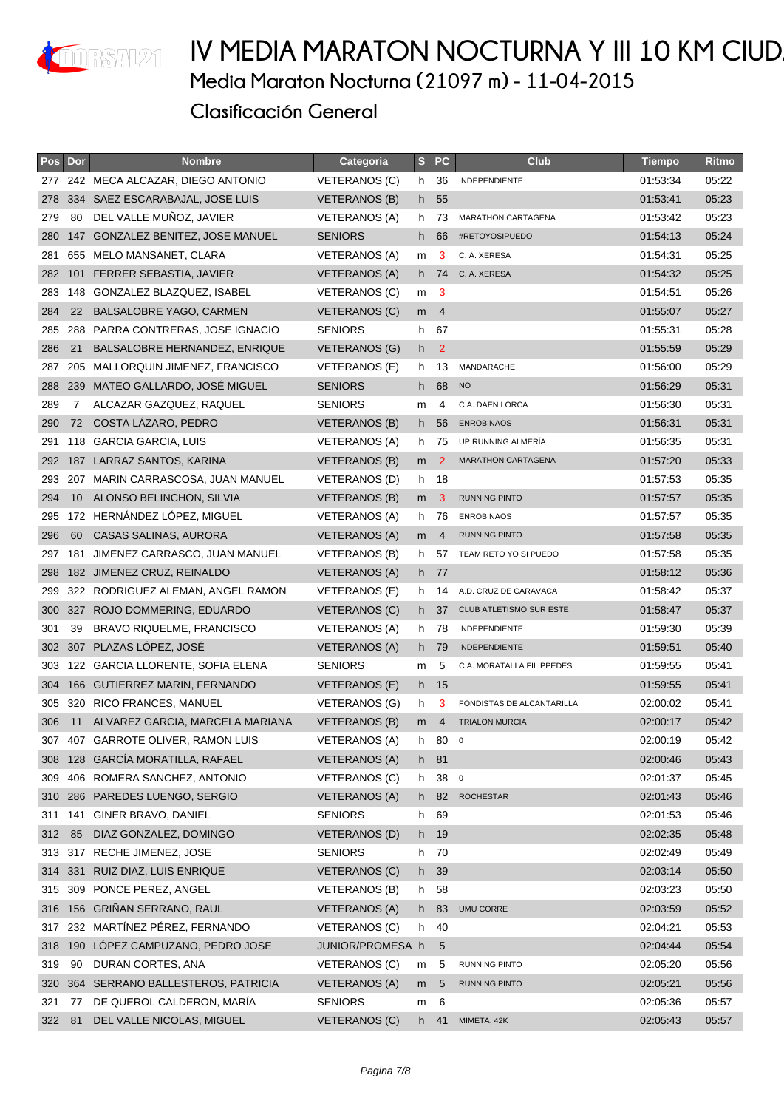

| <b>Pos</b> | Dor | <b>Nombre</b>                         | <b>Categoria</b>     | S              | <b>PC</b>       | <b>Club</b>                    | <b>Tiempo</b> | Ritmo |
|------------|-----|---------------------------------------|----------------------|----------------|-----------------|--------------------------------|---------------|-------|
| 277        |     | 242 MECA ALCAZAR, DIEGO ANTONIO       | VETERANOS (C)        | h.             | 36              | INDEPENDIENTE                  | 01:53:34      | 05:22 |
| 278        |     | 334 SAEZ ESCARABAJAL, JOSE LUIS       | <b>VETERANOS (B)</b> | h.             | 55              |                                | 01:53:41      | 05:23 |
| 279        | 80  | DEL VALLE MUÑOZ, JAVIER               | VETERANOS (A)        | h.             | 73              | MARATHON CARTAGENA             | 01:53:42      | 05:23 |
| 280        |     | 147 GONZALEZ BENITEZ, JOSE MANUEL     | <b>SENIORS</b>       | h.             | 66              | #RETOYOSIPUEDO                 | 01:54:13      | 05:24 |
| 281        |     | 655 MELO MANSANET, CLARA              | VETERANOS (A)        | m              | 3               | C. A. XERESA                   | 01:54:31      | 05:25 |
|            |     | 282 101 FERRER SEBASTIA, JAVIER       | VETERANOS (A)        |                | h 74            | C. A. XERESA                   | 01:54:32      | 05:25 |
|            |     | 283 148 GONZALEZ BLAZQUEZ, ISABEL     | <b>VETERANOS (C)</b> | m              | - 3             |                                | 01:54:51      | 05:26 |
| 284        | 22  | BALSALOBRE YAGO, CARMEN               | VETERANOS (C)        | m <sub>4</sub> |                 |                                | 01:55:07      | 05:27 |
| 285        |     | 288 PARRA CONTRERAS, JOSE IGNACIO     | <b>SENIORS</b>       | h.             | 67              |                                | 01:55:31      | 05:28 |
| 286        | 21  | BALSALOBRE HERNANDEZ, ENRIQUE         | VETERANOS (G)        | h.             | $\overline{2}$  |                                | 01:55:59      | 05:29 |
| 287        |     | 205 MALLORQUIN JIMENEZ, FRANCISCO     | VETERANOS (E)        | h.             | 13              | MANDARACHE                     | 01:56:00      | 05:29 |
|            |     | 288 239 MATEO GALLARDO, JOSÉ MIGUEL   | <b>SENIORS</b>       |                | h 68            | <b>NO</b>                      | 01:56:29      | 05:31 |
| 289        | 7   | ALCAZAR GAZQUEZ, RAQUEL               | <b>SENIORS</b>       | m              | 4               | C.A. DAEN LORCA                | 01:56:30      | 05:31 |
| 290        | 72  | COSTA LÁZARO, PEDRO                   | <b>VETERANOS (B)</b> | h.             | 56              | <b>ENROBINAOS</b>              | 01:56:31      | 05:31 |
| 291        |     | 118 GARCIA GARCIA, LUIS               | VETERANOS (A)        |                | h 75            | UP RUNNING ALMERÍA             | 01:56:35      | 05:31 |
| 292        |     | 187 LARRAZ SANTOS, KARINA             | VETERANOS (B)        | m              | $\mathbf{2}$    | <b>MARATHON CARTAGENA</b>      | 01:57:20      | 05:33 |
|            |     | 293 207 MARIN CARRASCOSA, JUAN MANUEL | VETERANOS (D)        | h 18           |                 |                                | 01:57:53      | 05:35 |
| 294        | 10  | ALONSO BELINCHON, SILVIA              | VETERANOS (B)        | m              | 3               | <b>RUNNING PINTO</b>           | 01:57:57      | 05:35 |
| 295        |     | 172 HERNÁNDEZ LÓPEZ, MIGUEL           | <b>VETERANOS (A)</b> | h.             | 76              | <b>ENROBINAOS</b>              | 01:57:57      | 05:35 |
| 296        | 60  | CASAS SALINAS, AURORA                 | <b>VETERANOS (A)</b> | m              | 4               | <b>RUNNING PINTO</b>           | 01:57:58      | 05:35 |
| 297        |     | 181 JIMENEZ CARRASCO, JUAN MANUEL     | VETERANOS (B)        | h.             | 57              | TEAM RETO YO SI PUEDO          | 01:57:58      | 05:35 |
| 298        |     | 182 JIMENEZ CRUZ, REINALDO            | VETERANOS (A)        |                | h 77            |                                | 01:58:12      | 05:36 |
| 299        |     | 322 RODRIGUEZ ALEMAN, ANGEL RAMON     | VETERANOS (E)        | h.             | 14              | A.D. CRUZ DE CARAVACA          | 01:58:42      | 05:37 |
| 300        |     | 327 ROJO DOMMERING, EDUARDO           | VETERANOS (C)        | h.             | 37              | <b>CLUB ATLETISMO SUR ESTE</b> | 01:58:47      | 05:37 |
| 301        | 39  | <b>BRAVO RIQUELME, FRANCISCO</b>      | VETERANOS (A)        | h.             | 78              | <b>INDEPENDIENTE</b>           | 01:59:30      | 05:39 |
| 302        |     | 307 PLAZAS LÓPEZ, JOSÉ                | <b>VETERANOS (A)</b> |                | h 79            | <b>INDEPENDIENTE</b>           | 01:59:51      | 05:40 |
| 303        |     | 122 GARCIA LLORENTE, SOFIA ELENA      | <b>SENIORS</b>       | m              | 5               | C.A. MORATALLA FILIPPEDES      | 01:59:55      | 05:41 |
|            |     | 304 166 GUTIERREZ MARIN, FERNANDO     | <b>VETERANOS (E)</b> |                | h 15            |                                | 01:59:55      | 05:41 |
|            |     | 305 320 RICO FRANCES, MANUEL          | VETERANOS (G)        | h              | 3               | FONDISTAS DE ALCANTARILLA      | 02:00:02      | 05:41 |
| 306        | 11  | ALVAREZ GARCIA, MARCELA MARIANA       | <b>VETERANOS (B)</b> | m              | $\overline{4}$  | <b>TRIALON MURCIA</b>          | 02:00:17      | 05:42 |
|            |     | 307 407 GARROTE OLIVER, RAMON LUIS    | <b>VETERANOS (A)</b> | h              | 80              | $\mathbf 0$                    | 02:00:19      | 05:42 |
| 308        |     | 128 GARCÍA MORATILLA, RAFAEL          | <b>VETERANOS (A)</b> | h 81           |                 |                                | 02:00:46      | 05:43 |
| 309        |     | 406 ROMERA SANCHEZ, ANTONIO           | VETERANOS (C)        | h.             | 38 <sub>0</sub> |                                | 02:01:37      | 05:45 |
| 310        |     | 286 PAREDES LUENGO, SERGIO            | <b>VETERANOS (A)</b> | h -            | 82              | <b>ROCHESTAR</b>               | 02:01:43      | 05:46 |
| 311        | 141 | GINER BRAVO, DANIEL                   | <b>SENIORS</b>       | h.             | 69              |                                | 02:01:53      | 05:46 |
| 312        | 85  | DIAZ GONZALEZ, DOMINGO                | <b>VETERANOS (D)</b> |                | h 19            |                                | 02:02:35      | 05:48 |
|            |     | 313 317 RECHE JIMENEZ, JOSE           | <b>SENIORS</b>       | h              | 70              |                                | 02:02:49      | 05:49 |
| 314        |     | 331 RUIZ DIAZ, LUIS ENRIQUE           | <b>VETERANOS (C)</b> | h              | 39              |                                | 02:03:14      | 05:50 |
| 315        |     | 309 PONCE PEREZ, ANGEL                | <b>VETERANOS (B)</b> | h.             | 58              |                                | 02:03:23      | 05:50 |
| 316        |     | 156 GRIÑAN SERRANO, RAUL              | <b>VETERANOS (A)</b> | h.             | 83              | <b>UMU CORRE</b>               | 02:03:59      | 05:52 |
| 317        |     | 232 MARTÍNEZ PÉREZ, FERNANDO          | VETERANOS (C)        |                | h 40            |                                | 02:04:21      | 05:53 |
| 318        |     | 190 LOPEZ CAMPUZANO, PEDRO JOSE       | JUNIOR/PROMESA h     |                | 5               |                                | 02:04:44      | 05:54 |
| 319        | 90  | DURAN CORTES, ANA                     | VETERANOS (C)        | m              | 5               | RUNNING PINTO                  | 02:05:20      | 05:56 |
| 320        |     | 364 SERRANO BALLESTEROS, PATRICIA     | <b>VETERANOS (A)</b> | m              | 5               | RUNNING PINTO                  | 02:05:21      | 05:56 |
| 321        | 77  | DE QUEROL CALDERON, MARÍA             | <b>SENIORS</b>       | m              | 6               |                                | 02:05:36      | 05:57 |
| 322        | 81  | DEL VALLE NICOLAS, MIGUEL             | <b>VETERANOS (C)</b> | h.             | 41              | MIMETA, 42K                    | 02:05:43      | 05:57 |